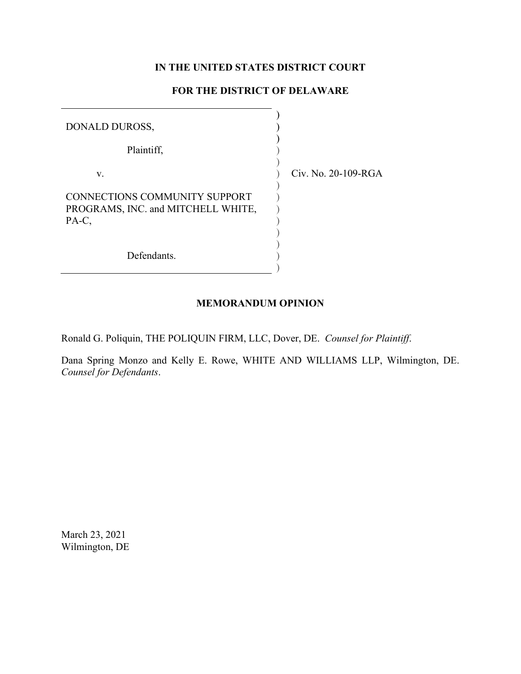# **IN THE UNITED STATES DISTRICT COURT**

# **FOR THE DISTRICT OF DELAWARE**

| DONALD DUROSS,                                                                      |                       |
|-------------------------------------------------------------------------------------|-----------------------|
| Plaintiff,                                                                          |                       |
| V.                                                                                  | Civ. No. $20-109-RGA$ |
| <b>CONNECTIONS COMMUNITY SUPPORT</b><br>PROGRAMS, INC. and MITCHELL WHITE,<br>PA-C, |                       |
| Defendants.                                                                         |                       |

## **MEMORANDUM OPINION**

Ronald G. Poliquin, THE POLIQUIN FIRM, LLC, Dover, DE. *Counsel for Plaintiff*.

Dana Spring Monzo and Kelly E. Rowe, WHITE AND WILLIAMS LLP, Wilmington, DE. *Counsel for Defendants*.

March 23, 2021 Wilmington, DE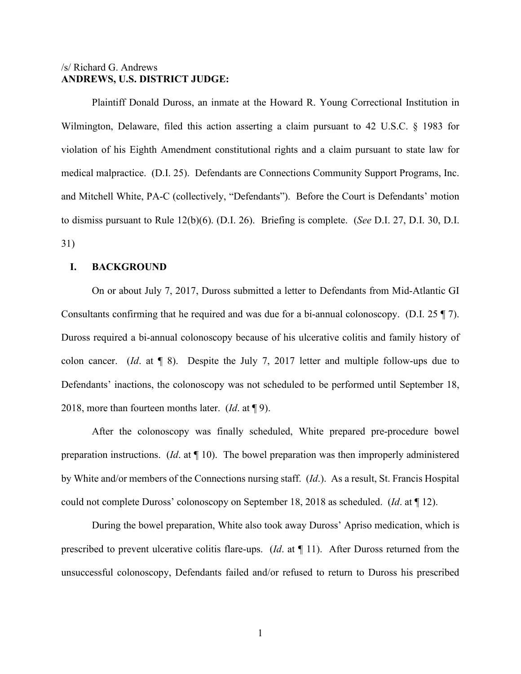# /s/ Richard G. Andrews **ANDREWS, U.S. DISTRICT JUDGE:**

Plaintiff Donald Duross, an inmate at the Howard R. Young Correctional Institution in Wilmington, Delaware, filed this action asserting a claim pursuant to 42 U.S.C. § 1983 for violation of his Eighth Amendment constitutional rights and a claim pursuant to state law for medical malpractice. (D.I. 25). Defendants are Connections Community Support Programs, Inc. and Mitchell White, PA-C (collectively, "Defendants"). Before the Court is Defendants' motion to dismiss pursuant to Rule 12(b)(6). (D.I. 26). Briefing is complete. (*See* D.I. 27, D.I. 30, D.I. 31)

## **I. BACKGROUND**

On or about July 7, 2017, Duross submitted a letter to Defendants from Mid-Atlantic GI Consultants confirming that he required and was due for a bi-annual colonoscopy. (D.I. 25 ¶ 7). Duross required a bi-annual colonoscopy because of his ulcerative colitis and family history of colon cancer. (*Id*. at ¶ 8). Despite the July 7, 2017 letter and multiple follow-ups due to Defendants' inactions, the colonoscopy was not scheduled to be performed until September 18, 2018, more than fourteen months later. (*Id*. at ¶ 9).

After the colonoscopy was finally scheduled, White prepared pre-procedure bowel preparation instructions. (*Id*. at ¶ 10). The bowel preparation was then improperly administered by White and/or members of the Connections nursing staff. (*Id*.). As a result, St. Francis Hospital could not complete Duross' colonoscopy on September 18, 2018 as scheduled. (*Id*. at ¶ 12).

During the bowel preparation, White also took away Duross' Apriso medication, which is prescribed to prevent ulcerative colitis flare-ups. (*Id*. at ¶ 11). After Duross returned from the unsuccessful colonoscopy, Defendants failed and/or refused to return to Duross his prescribed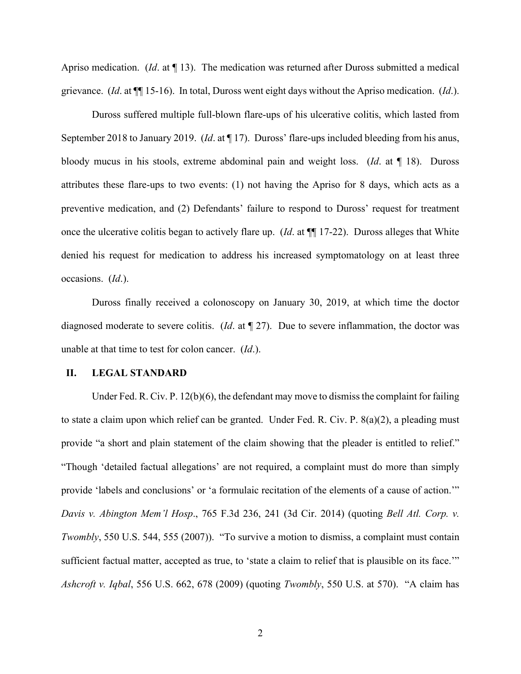Apriso medication. (*Id*. at ¶ 13). The medication was returned after Duross submitted a medical grievance. (*Id*. at ¶¶ 15-16). In total, Duross went eight days without the Apriso medication. (*Id*.).

Duross suffered multiple full-blown flare-ups of his ulcerative colitis, which lasted from September 2018 to January 2019. (*Id*. at ¶ 17). Duross' flare-ups included bleeding from his anus, bloody mucus in his stools, extreme abdominal pain and weight loss. (*Id*. at ¶ 18). Duross attributes these flare-ups to two events: (1) not having the Apriso for 8 days, which acts as a preventive medication, and (2) Defendants' failure to respond to Duross' request for treatment once the ulcerative colitis began to actively flare up. (*Id*. at ¶¶ 17-22). Duross alleges that White denied his request for medication to address his increased symptomatology on at least three occasions. (*Id*.).

Duross finally received a colonoscopy on January 30, 2019, at which time the doctor diagnosed moderate to severe colitis. (*Id*. at ¶ 27). Due to severe inflammation, the doctor was unable at that time to test for colon cancer. (*Id*.).

## **II. LEGAL STANDARD**

Under Fed. R. Civ. P. 12(b)(6), the defendant may move to dismiss the complaint for failing to state a claim upon which relief can be granted. Under Fed. R. Civ. P. 8(a)(2), a pleading must provide "a short and plain statement of the claim showing that the pleader is entitled to relief." "Though 'detailed factual allegations' are not required, a complaint must do more than simply provide 'labels and conclusions' or 'a formulaic recitation of the elements of a cause of action.'" *Davis v. Abington Mem'l Hosp*., 765 F.3d 236, 241 (3d Cir. 2014) (quoting *Bell Atl. Corp. v. Twombly*, 550 U.S. 544, 555 (2007)). "To survive a motion to dismiss, a complaint must contain sufficient factual matter, accepted as true, to 'state a claim to relief that is plausible on its face."" *Ashcroft v. Iqbal*, 556 U.S. 662, 678 (2009) (quoting *Twombly*, 550 U.S. at 570). "A claim has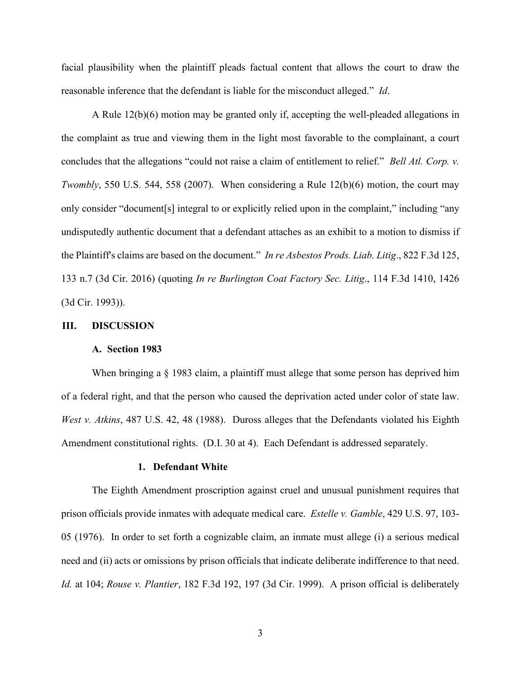facial plausibility when the plaintiff pleads factual content that allows the court to draw the reasonable inference that the defendant is liable for the misconduct alleged." *Id*.

A Rule 12(b)(6) motion may be granted only if, accepting the well-pleaded allegations in the complaint as true and viewing them in the light most favorable to the complainant, a court concludes that the allegations "could not raise a claim of entitlement to relief." *Bell Atl. Corp. v. Twombly*, 550 U.S. 544, 558 (2007). When considering a Rule 12(b)(6) motion, the court may only consider "document[s] integral to or explicitly relied upon in the complaint," including "any undisputedly authentic document that a defendant attaches as an exhibit to a motion to dismiss if the Plaintiff's claims are based on the document." *In re Asbestos Prods. Liab. Litig*., 822 F.3d 125, 133 n.7 (3d Cir. 2016) (quoting *In re Burlington Coat Factory Sec. Litig*., 114 F.3d 1410, 1426 (3d Cir. 1993)).

## **III. DISCUSSION**

### **A. Section 1983**

When bringing a § 1983 claim, a plaintiff must allege that some person has deprived him of a federal right, and that the person who caused the deprivation acted under color of state law. *West v. Atkins*, 487 U.S. 42, 48 (1988). Duross alleges that the Defendants violated his Eighth Amendment constitutional rights. (D.I. 30 at 4). Each Defendant is addressed separately.

#### **1. Defendant White**

The Eighth Amendment proscription against cruel and unusual punishment requires that prison officials provide inmates with adequate medical care. *Estelle v. Gamble*, 429 U.S. 97, 103- 05 (1976). In order to set forth a cognizable claim, an inmate must allege (i) a serious medical need and (ii) acts or omissions by prison officials that indicate deliberate indifference to that need. *Id.* at 104; *Rouse v. Plantier*, 182 F.3d 192, 197 (3d Cir. 1999). A prison official is deliberately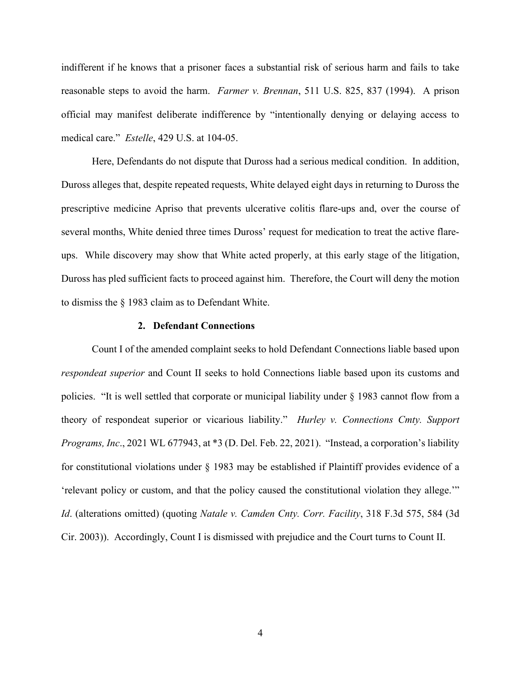indifferent if he knows that a prisoner faces a substantial risk of serious harm and fails to take reasonable steps to avoid the harm. *Farmer v. Brennan*, 511 U.S. 825, 837 (1994). A prison official may manifest deliberate indifference by "intentionally denying or delaying access to medical care." *Estelle*, 429 U.S. at 104-05.

Here, Defendants do not dispute that Duross had a serious medical condition. In addition, Duross alleges that, despite repeated requests, White delayed eight days in returning to Duross the prescriptive medicine Apriso that prevents ulcerative colitis flare-ups and, over the course of several months, White denied three times Duross' request for medication to treat the active flareups. While discovery may show that White acted properly, at this early stage of the litigation, Duross has pled sufficient facts to proceed against him. Therefore, the Court will deny the motion to dismiss the § 1983 claim as to Defendant White.

### **2. Defendant Connections**

Count I of the amended complaint seeks to hold Defendant Connections liable based upon *respondeat superior* and Count II seeks to hold Connections liable based upon its customs and policies. "It is well settled that corporate or municipal liability under § 1983 cannot flow from a theory of respondeat superior or vicarious liability." *Hurley v. Connections Cmty. Support Programs, Inc*., 2021 WL 677943, at \*3 (D. Del. Feb. 22, 2021). "Instead, a corporation's liability for constitutional violations under § 1983 may be established if Plaintiff provides evidence of a 'relevant policy or custom, and that the policy caused the constitutional violation they allege.'" *Id*. (alterations omitted) (quoting *Natale v. Camden Cnty. Corr. Facility*, 318 F.3d 575, 584 (3d Cir. 2003)). Accordingly, Count I is dismissed with prejudice and the Court turns to Count II.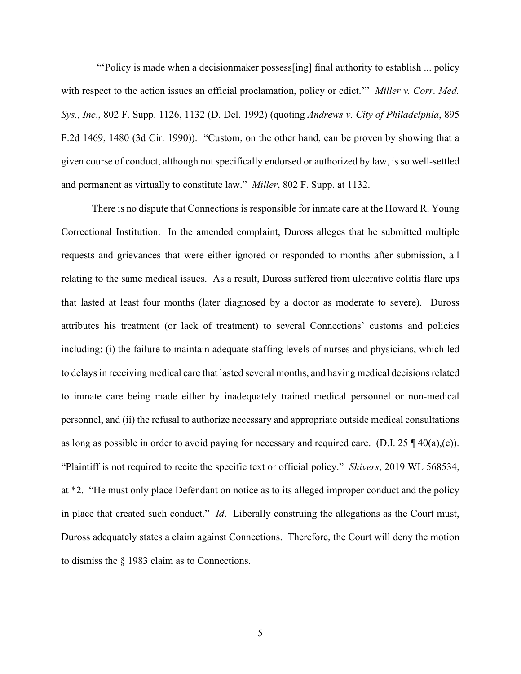"'Policy is made when a decisionmaker possess[ing] final authority to establish ... policy with respect to the action issues an official proclamation, policy or edict.'" *Miller v. Corr. Med. Sys., Inc*., 802 F. Supp. 1126, 1132 (D. Del. 1992) (quoting *Andrews v. City of Philadelphia*, 895 F.2d 1469, 1480 (3d Cir. 1990)). "Custom, on the other hand, can be proven by showing that a given course of conduct, although not specifically endorsed or authorized by law, is so well-settled and permanent as virtually to constitute law." *Miller*, 802 F. Supp. at 1132.

There is no dispute that Connections is responsible for inmate care at the Howard R. Young Correctional Institution. In the amended complaint, Duross alleges that he submitted multiple requests and grievances that were either ignored or responded to months after submission, all relating to the same medical issues. As a result, Duross suffered from ulcerative colitis flare ups that lasted at least four months (later diagnosed by a doctor as moderate to severe). Duross attributes his treatment (or lack of treatment) to several Connections' customs and policies including: (i) the failure to maintain adequate staffing levels of nurses and physicians, which led to delaysin receiving medical care that lasted several months, and having medical decisions related to inmate care being made either by inadequately trained medical personnel or non-medical personnel, and (ii) the refusal to authorize necessary and appropriate outside medical consultations as long as possible in order to avoid paying for necessary and required care. (D.I.  $25 \text{ } \text{\degree} (40(a), (e)).$ "Plaintiff is not required to recite the specific text or official policy." *Shivers*, 2019 WL 568534, at \*2. "He must only place Defendant on notice as to its alleged improper conduct and the policy in place that created such conduct." *Id*. Liberally construing the allegations as the Court must, Duross adequately states a claim against Connections. Therefore, the Court will deny the motion to dismiss the § 1983 claim as to Connections.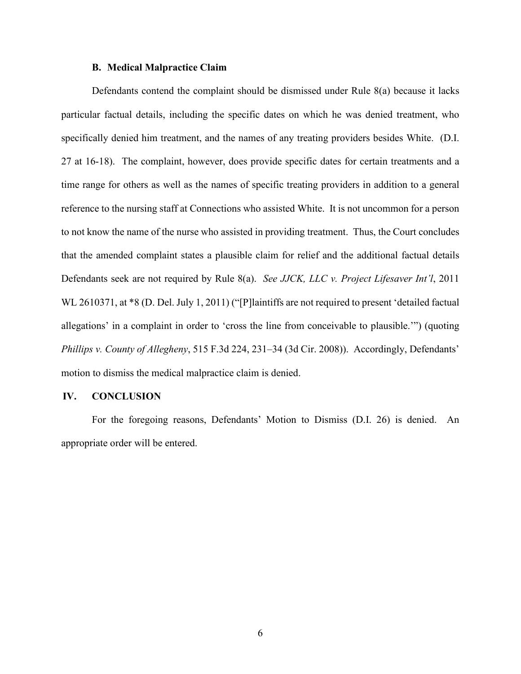## **B. Medical Malpractice Claim**

Defendants contend the complaint should be dismissed under Rule 8(a) because it lacks particular factual details, including the specific dates on which he was denied treatment, who specifically denied him treatment, and the names of any treating providers besides White. (D.I. 27 at 16-18). The complaint, however, does provide specific dates for certain treatments and a time range for others as well as the names of specific treating providers in addition to a general reference to the nursing staff at Connections who assisted White. It is not uncommon for a person to not know the name of the nurse who assisted in providing treatment. Thus, the Court concludes that the amended complaint states a plausible claim for relief and the additional factual details Defendants seek are not required by Rule 8(a). *See JJCK, LLC v. Project Lifesaver Int'l*, 2011 WL 2610371, at  $*8$  (D. Del. July 1, 2011) ("[P]laintiffs are not required to present 'detailed factual allegations' in a complaint in order to 'cross the line from conceivable to plausible.'") (quoting *Phillips v. County of Allegheny*, 515 F.3d 224, 231–34 (3d Cir. 2008)). Accordingly, Defendants' motion to dismiss the medical malpractice claim is denied.

## **IV. CONCLUSION**

For the foregoing reasons, Defendants' Motion to Dismiss (D.I. 26) is denied. An appropriate order will be entered.